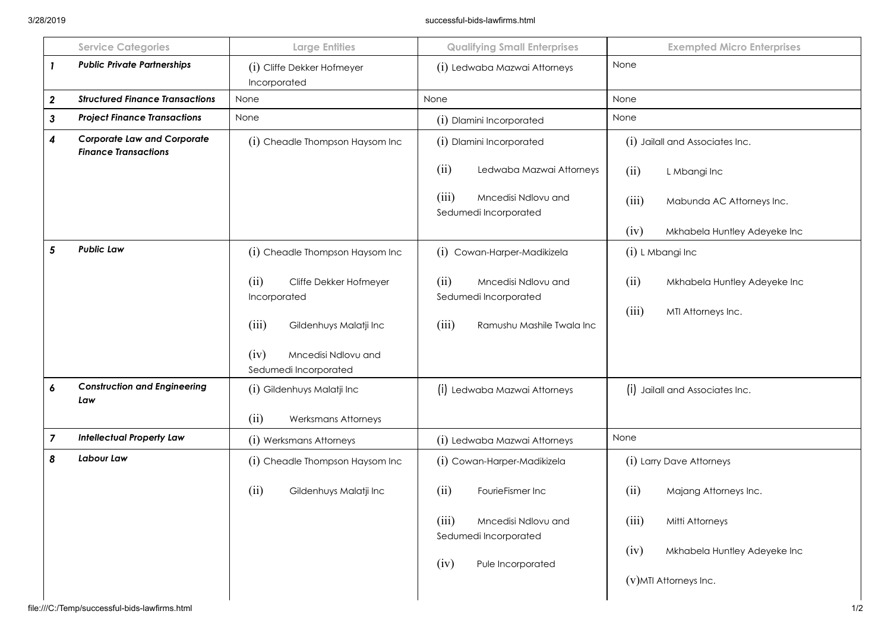|   | <b>Service Categories</b>                                         | <b>Large Entities</b>                                                                                            | <b>Qualifying Small Enterprises</b>                                                                            | <b>Exempted Micro Enterprises</b>                                                                                           |
|---|-------------------------------------------------------------------|------------------------------------------------------------------------------------------------------------------|----------------------------------------------------------------------------------------------------------------|-----------------------------------------------------------------------------------------------------------------------------|
|   | <b>Public Private Partnerships</b>                                | (i) Cliffe Dekker Hofmeyer<br>Incorporated                                                                       | (i) Ledwaba Mazwai Attorneys                                                                                   | None                                                                                                                        |
| 2 | <b>Structured Finance Transactions</b>                            | None                                                                                                             | None                                                                                                           | None                                                                                                                        |
| 3 | <b>Project Finance Transactions</b>                               | None                                                                                                             | (i) Dlamini Incorporated                                                                                       | None                                                                                                                        |
| 4 | <b>Corporate Law and Corporate</b><br><b>Finance Transactions</b> | (i) Cheadle Thompson Haysom Inc                                                                                  | (i) Dlamini Incorporated                                                                                       | (i) Jailall and Associates Inc.                                                                                             |
|   |                                                                   |                                                                                                                  | (ii)<br>Ledwaba Mazwai Attorneys                                                                               | (ii)<br>L Mbangi Inc                                                                                                        |
|   |                                                                   |                                                                                                                  | (iii)<br>Mncedisi Ndlovu and<br>Sedumedi Incorporated                                                          | (iii)<br>Mabunda AC Attorneys Inc.                                                                                          |
|   |                                                                   |                                                                                                                  |                                                                                                                | (iv)<br>Mkhabela Huntley Adeyeke Inc                                                                                        |
| 5 | <b>Public Law</b>                                                 | (i) Cheadle Thompson Haysom Inc                                                                                  | (i) Cowan-Harper-Madikizela                                                                                    | (i) L Mbangi Inc                                                                                                            |
|   |                                                                   | (ii)<br>Cliffe Dekker Hofmeyer<br>Incorporated<br>(iii)<br>Gildenhuys Malatji Inc<br>(iv)<br>Mncedisi Ndlovu and | (ii)<br>Mncedisi Ndlovu and<br>Sedumedi Incorporated<br>(iii)<br>Ramushu Mashile Twala Inc                     | (ii)<br>Mkhabela Huntley Adeyeke Inc<br>(iii)<br>MTI Attorneys Inc.                                                         |
| 6 | <b>Construction and Engineering</b><br>Law                        | Sedumedi Incorporated<br>(i) Gildenhuys Malatji Inc<br>(ii)<br><b>Werksmans Attorneys</b>                        | (i) Ledwaba Mazwai Attorneys                                                                                   | (i) Jailall and Associates Inc.                                                                                             |
| 7 | <b>Intellectual Property Law</b>                                  | (i) Werksmans Attorneys                                                                                          | (i) Ledwaba Mazwai Attorneys                                                                                   | None                                                                                                                        |
| 8 | <b>Labour Law</b>                                                 | (i) Cheadle Thompson Haysom Inc                                                                                  | (i) Cowan-Harper-Madikizela                                                                                    | (i) Larry Dave Attorneys                                                                                                    |
|   |                                                                   | (ii)<br>Gildenhuys Malatji Inc                                                                                   | (ii)<br>FourieFismer Inc<br>(iii)<br>Mncedisi Ndlovu and<br>Sedumedi Incorporated<br>(iv)<br>Pule Incorporated | (ii)<br>Majang Attorneys Inc.<br>(iii)<br>Mitti Attorneys<br>(iv)<br>Mkhabela Huntley Adeyeke Inc<br>(v) MTI Attorneys Inc. |